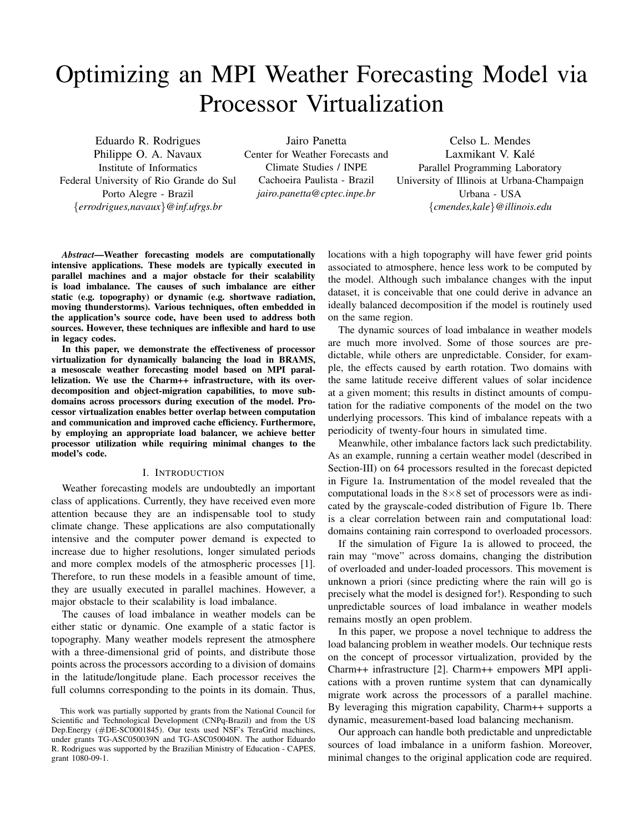# Optimizing an MPI Weather Forecasting Model via Processor Virtualization

Eduardo R. Rodrigues Philippe O. A. Navaux Institute of Informatics Federal University of Rio Grande do Sul Porto Alegre - Brazil {*errodrigues,navaux*}*@inf.ufrgs.br*

Jairo Panetta Center for Weather Forecasts and Climate Studies / INPE Cachoeira Paulista - Brazil *jairo.panetta@cptec.inpe.br*

Celso L. Mendes Laxmikant V. Kalé Parallel Programming Laboratory University of Illinois at Urbana-Champaign Urbana - USA {*cmendes,kale*}*@illinois.edu*

*Abstract*—Weather forecasting models are computationally intensive applications. These models are typically executed in parallel machines and a major obstacle for their scalability is load imbalance. The causes of such imbalance are either static (e.g. topography) or dynamic (e.g. shortwave radiation, moving thunderstorms). Various techniques, often embedded in the application's source code, have been used to address both sources. However, these techniques are inflexible and hard to use in legacy codes.

In this paper, we demonstrate the effectiveness of processor virtualization for dynamically balancing the load in BRAMS, a mesoscale weather forecasting model based on MPI parallelization. We use the Charm++ infrastructure, with its overdecomposition and object-migration capabilities, to move subdomains across processors during execution of the model. Processor virtualization enables better overlap between computation and communication and improved cache efficiency. Furthermore, by employing an appropriate load balancer, we achieve better processor utilization while requiring minimal changes to the model's code.

#### I. INTRODUCTION

Weather forecasting models are undoubtedly an important class of applications. Currently, they have received even more attention because they are an indispensable tool to study climate change. These applications are also computationally intensive and the computer power demand is expected to increase due to higher resolutions, longer simulated periods and more complex models of the atmospheric processes [1]. Therefore, to run these models in a feasible amount of time, they are usually executed in parallel machines. However, a major obstacle to their scalability is load imbalance.

The causes of load imbalance in weather models can be either static or dynamic. One example of a static factor is topography. Many weather models represent the atmosphere with a three-dimensional grid of points, and distribute those points across the processors according to a division of domains in the latitude/longitude plane. Each processor receives the full columns corresponding to the points in its domain. Thus, locations with a high topography will have fewer grid points associated to atmosphere, hence less work to be computed by the model. Although such imbalance changes with the input dataset, it is conceivable that one could derive in advance an ideally balanced decomposition if the model is routinely used on the same region.

The dynamic sources of load imbalance in weather models are much more involved. Some of those sources are predictable, while others are unpredictable. Consider, for example, the effects caused by earth rotation. Two domains with the same latitude receive different values of solar incidence at a given moment; this results in distinct amounts of computation for the radiative components of the model on the two underlying processors. This kind of imbalance repeats with a periodicity of twenty-four hours in simulated time.

Meanwhile, other imbalance factors lack such predictability. As an example, running a certain weather model (described in Section-III) on 64 processors resulted in the forecast depicted in Figure 1a. Instrumentation of the model revealed that the computational loads in the  $8\times 8$  set of processors were as indicated by the grayscale-coded distribution of Figure 1b. There is a clear correlation between rain and computational load: domains containing rain correspond to overloaded processors.

If the simulation of Figure 1a is allowed to proceed, the rain may "move" across domains, changing the distribution of overloaded and under-loaded processors. This movement is unknown a priori (since predicting where the rain will go is precisely what the model is designed for!). Responding to such unpredictable sources of load imbalance in weather models remains mostly an open problem.

In this paper, we propose a novel technique to address the load balancing problem in weather models. Our technique rests on the concept of processor virtualization, provided by the Charm++ infrastructure [2]. Charm++ empowers MPI applications with a proven runtime system that can dynamically migrate work across the processors of a parallel machine. By leveraging this migration capability, Charm++ supports a dynamic, measurement-based load balancing mechanism.

Our approach can handle both predictable and unpredictable sources of load imbalance in a uniform fashion. Moreover, minimal changes to the original application code are required.

This work was partially supported by grants from the National Council for Scientific and Technological Development (CNPq-Brazil) and from the US Dep.Energy (#DE-SC0001845). Our tests used NSF's TeraGrid machines, under grants TG-ASC050039N and TG-ASC050040N. The author Eduardo R. Rodrigues was supported by the Brazilian Ministry of Education - CAPES, grant 1080-09-1.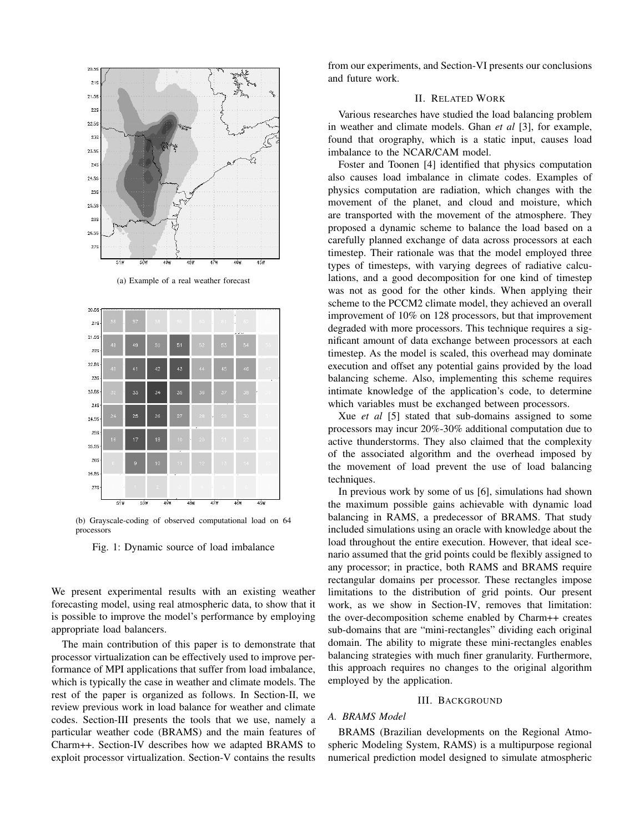

(a) Example of a real weather forecast



(b) Grayscale-coding of observed computational load on 64 processors

Fig. 1: Dynamic source of load imbalance

We present experimental results with an existing weather forecasting model, using real atmospheric data, to show that it is possible to improve the model's performance by employing appropriate load balancers.

The main contribution of this paper is to demonstrate that processor virtualization can be effectively used to improve performance of MPI applications that suffer from load imbalance, which is typically the case in weather and climate models. The rest of the paper is organized as follows. In Section-II, we review previous work in load balance for weather and climate codes. Section-III presents the tools that we use, namely a particular weather code (BRAMS) and the main features of Charm++. Section-IV describes how we adapted BRAMS to exploit processor virtualization. Section-V contains the results

from our experiments, and Section-VI presents our conclusions and future work.

# II. RELATED WORK

Various researches have studied the load balancing problem in weather and climate models. Ghan *et al* [3], for example, found that orography, which is a static input, causes load imbalance to the NCAR/CAM model.

Foster and Toonen [4] identified that physics computation also causes load imbalance in climate codes. Examples of physics computation are radiation, which changes with the movement of the planet, and cloud and moisture, which are transported with the movement of the atmosphere. They proposed a dynamic scheme to balance the load based on a carefully planned exchange of data across processors at each timestep. Their rationale was that the model employed three types of timesteps, with varying degrees of radiative calculations, and a good decomposition for one kind of timestep was not as good for the other kinds. When applying their scheme to the PCCM2 climate model, they achieved an overall improvement of 10% on 128 processors, but that improvement degraded with more processors. This technique requires a significant amount of data exchange between processors at each timestep. As the model is scaled, this overhead may dominate execution and offset any potential gains provided by the load balancing scheme. Also, implementing this scheme requires intimate knowledge of the application's code, to determine which variables must be exchanged between processors.

Xue *et al* [5] stated that sub-domains assigned to some processors may incur 20%-30% additional computation due to active thunderstorms. They also claimed that the complexity of the associated algorithm and the overhead imposed by the movement of load prevent the use of load balancing techniques.

In previous work by some of us [6], simulations had shown the maximum possible gains achievable with dynamic load balancing in RAMS, a predecessor of BRAMS. That study included simulations using an oracle with knowledge about the load throughout the entire execution. However, that ideal scenario assumed that the grid points could be flexibly assigned to any processor; in practice, both RAMS and BRAMS require rectangular domains per processor. These rectangles impose limitations to the distribution of grid points. Our present work, as we show in Section-IV, removes that limitation: the over-decomposition scheme enabled by Charm++ creates sub-domains that are "mini-rectangles" dividing each original domain. The ability to migrate these mini-rectangles enables balancing strategies with much finer granularity. Furthermore, this approach requires no changes to the original algorithm employed by the application.

# III. BACKGROUND

# *A. BRAMS Model*

BRAMS (Brazilian developments on the Regional Atmospheric Modeling System, RAMS) is a multipurpose regional numerical prediction model designed to simulate atmospheric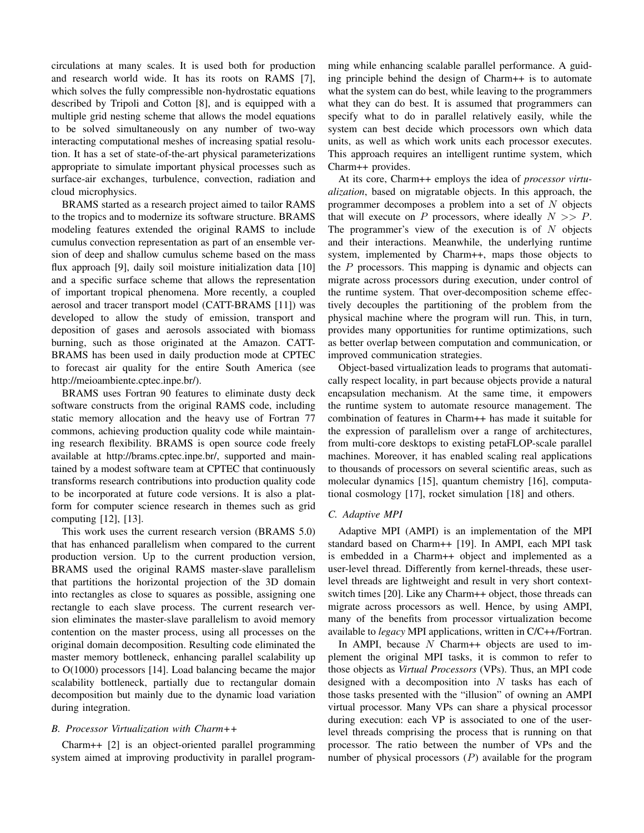circulations at many scales. It is used both for production and research world wide. It has its roots on RAMS [7], which solves the fully compressible non-hydrostatic equations described by Tripoli and Cotton [8], and is equipped with a multiple grid nesting scheme that allows the model equations to be solved simultaneously on any number of two-way interacting computational meshes of increasing spatial resolution. It has a set of state-of-the-art physical parameterizations appropriate to simulate important physical processes such as surface-air exchanges, turbulence, convection, radiation and cloud microphysics.

BRAMS started as a research project aimed to tailor RAMS to the tropics and to modernize its software structure. BRAMS modeling features extended the original RAMS to include cumulus convection representation as part of an ensemble version of deep and shallow cumulus scheme based on the mass flux approach [9], daily soil moisture initialization data [10] and a specific surface scheme that allows the representation of important tropical phenomena. More recently, a coupled aerosol and tracer transport model (CATT-BRAMS [11]) was developed to allow the study of emission, transport and deposition of gases and aerosols associated with biomass burning, such as those originated at the Amazon. CATT-BRAMS has been used in daily production mode at CPTEC to forecast air quality for the entire South America (see http://meioambiente.cptec.inpe.br/).

BRAMS uses Fortran 90 features to eliminate dusty deck software constructs from the original RAMS code, including static memory allocation and the heavy use of Fortran 77 commons, achieving production quality code while maintaining research flexibility. BRAMS is open source code freely available at http://brams.cptec.inpe.br/, supported and maintained by a modest software team at CPTEC that continuously transforms research contributions into production quality code to be incorporated at future code versions. It is also a platform for computer science research in themes such as grid computing [12], [13].

This work uses the current research version (BRAMS 5.0) that has enhanced parallelism when compared to the current production version. Up to the current production version, BRAMS used the original RAMS master-slave parallelism that partitions the horizontal projection of the 3D domain into rectangles as close to squares as possible, assigning one rectangle to each slave process. The current research version eliminates the master-slave parallelism to avoid memory contention on the master process, using all processes on the original domain decomposition. Resulting code eliminated the master memory bottleneck, enhancing parallel scalability up to O(1000) processors [14]. Load balancing became the major scalability bottleneck, partially due to rectangular domain decomposition but mainly due to the dynamic load variation during integration.

# *B. Processor Virtualization with Charm++*

Charm++ [2] is an object-oriented parallel programming system aimed at improving productivity in parallel programming while enhancing scalable parallel performance. A guiding principle behind the design of Charm++ is to automate what the system can do best, while leaving to the programmers what they can do best. It is assumed that programmers can specify what to do in parallel relatively easily, while the system can best decide which processors own which data units, as well as which work units each processor executes. This approach requires an intelligent runtime system, which Charm++ provides.

At its core, Charm++ employs the idea of *processor virtualization*, based on migratable objects. In this approach, the programmer decomposes a problem into a set of  $N$  objects that will execute on P processors, where ideally  $N \gg P$ . The programmer's view of the execution is of  $N$  objects and their interactions. Meanwhile, the underlying runtime system, implemented by Charm++, maps those objects to the  $P$  processors. This mapping is dynamic and objects can migrate across processors during execution, under control of the runtime system. That over-decomposition scheme effectively decouples the partitioning of the problem from the physical machine where the program will run. This, in turn, provides many opportunities for runtime optimizations, such as better overlap between computation and communication, or improved communication strategies.

Object-based virtualization leads to programs that automatically respect locality, in part because objects provide a natural encapsulation mechanism. At the same time, it empowers the runtime system to automate resource management. The combination of features in Charm++ has made it suitable for the expression of parallelism over a range of architectures, from multi-core desktops to existing petaFLOP-scale parallel machines. Moreover, it has enabled scaling real applications to thousands of processors on several scientific areas, such as molecular dynamics [15], quantum chemistry [16], computational cosmology [17], rocket simulation [18] and others.

# *C. Adaptive MPI*

Adaptive MPI (AMPI) is an implementation of the MPI standard based on Charm++ [19]. In AMPI, each MPI task is embedded in a Charm++ object and implemented as a user-level thread. Differently from kernel-threads, these userlevel threads are lightweight and result in very short contextswitch times [20]. Like any Charm++ object, those threads can migrate across processors as well. Hence, by using AMPI, many of the benefits from processor virtualization become available to *legacy* MPI applications, written in C/C++/Fortran.

In AMPI, because  $N$  Charm++ objects are used to implement the original MPI tasks, it is common to refer to those objects as *Virtual Processors* (VPs). Thus, an MPI code designed with a decomposition into  $N$  tasks has each of those tasks presented with the "illusion" of owning an AMPI virtual processor. Many VPs can share a physical processor during execution: each VP is associated to one of the userlevel threads comprising the process that is running on that processor. The ratio between the number of VPs and the number of physical processors  $(P)$  available for the program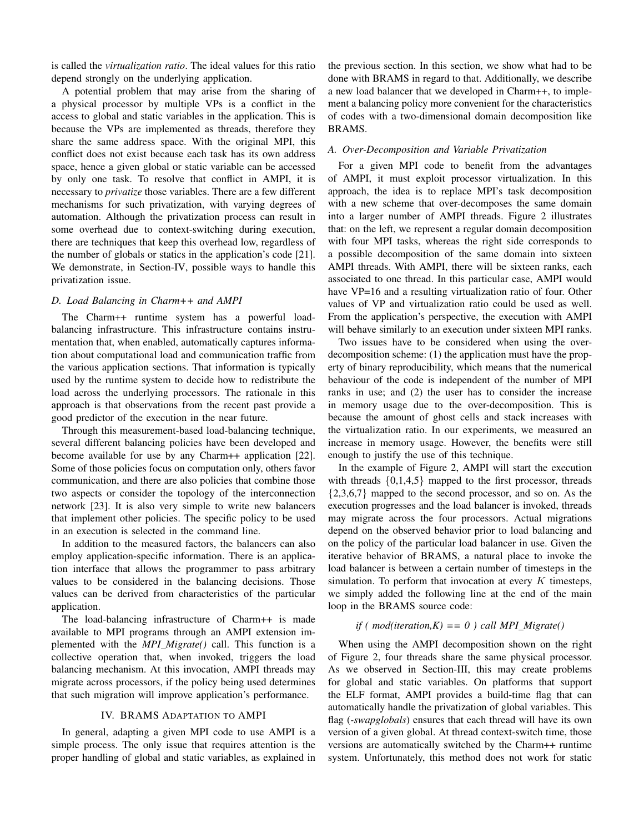is called the *virtualization ratio*. The ideal values for this ratio depend strongly on the underlying application.

A potential problem that may arise from the sharing of a physical processor by multiple VPs is a conflict in the access to global and static variables in the application. This is because the VPs are implemented as threads, therefore they share the same address space. With the original MPI, this conflict does not exist because each task has its own address space, hence a given global or static variable can be accessed by only one task. To resolve that conflict in AMPI, it is necessary to *privatize* those variables. There are a few different mechanisms for such privatization, with varying degrees of automation. Although the privatization process can result in some overhead due to context-switching during execution, there are techniques that keep this overhead low, regardless of the number of globals or statics in the application's code [21]. We demonstrate, in Section-IV, possible ways to handle this privatization issue.

# *D. Load Balancing in Charm++ and AMPI*

The Charm++ runtime system has a powerful loadbalancing infrastructure. This infrastructure contains instrumentation that, when enabled, automatically captures information about computational load and communication traffic from the various application sections. That information is typically used by the runtime system to decide how to redistribute the load across the underlying processors. The rationale in this approach is that observations from the recent past provide a good predictor of the execution in the near future.

Through this measurement-based load-balancing technique, several different balancing policies have been developed and become available for use by any Charm++ application [22]. Some of those policies focus on computation only, others favor communication, and there are also policies that combine those two aspects or consider the topology of the interconnection network [23]. It is also very simple to write new balancers that implement other policies. The specific policy to be used in an execution is selected in the command line.

In addition to the measured factors, the balancers can also employ application-specific information. There is an application interface that allows the programmer to pass arbitrary values to be considered in the balancing decisions. Those values can be derived from characteristics of the particular application.

The load-balancing infrastructure of Charm++ is made available to MPI programs through an AMPI extension implemented with the *MPI Migrate()* call. This function is a collective operation that, when invoked, triggers the load balancing mechanism. At this invocation, AMPI threads may migrate across processors, if the policy being used determines that such migration will improve application's performance.

# IV. BRAMS ADAPTATION TO AMPI

In general, adapting a given MPI code to use AMPI is a simple process. The only issue that requires attention is the proper handling of global and static variables, as explained in the previous section. In this section, we show what had to be done with BRAMS in regard to that. Additionally, we describe a new load balancer that we developed in Charm++, to implement a balancing policy more convenient for the characteristics of codes with a two-dimensional domain decomposition like BRAMS.

# *A. Over-Decomposition and Variable Privatization*

For a given MPI code to benefit from the advantages of AMPI, it must exploit processor virtualization. In this approach, the idea is to replace MPI's task decomposition with a new scheme that over-decomposes the same domain into a larger number of AMPI threads. Figure 2 illustrates that: on the left, we represent a regular domain decomposition with four MPI tasks, whereas the right side corresponds to a possible decomposition of the same domain into sixteen AMPI threads. With AMPI, there will be sixteen ranks, each associated to one thread. In this particular case, AMPI would have VP=16 and a resulting virtualization ratio of four. Other values of VP and virtualization ratio could be used as well. From the application's perspective, the execution with AMPI will behave similarly to an execution under sixteen MPI ranks.

Two issues have to be considered when using the overdecomposition scheme: (1) the application must have the property of binary reproducibility, which means that the numerical behaviour of the code is independent of the number of MPI ranks in use; and (2) the user has to consider the increase in memory usage due to the over-decomposition. This is because the amount of ghost cells and stack increases with the virtualization ratio. In our experiments, we measured an increase in memory usage. However, the benefits were still enough to justify the use of this technique.

In the example of Figure 2, AMPI will start the execution with threads  $\{0,1,4,5\}$  mapped to the first processor, threads  $\{2,3,6,7\}$  mapped to the second processor, and so on. As the execution progresses and the load balancer is invoked, threads may migrate across the four processors. Actual migrations depend on the observed behavior prior to load balancing and on the policy of the particular load balancer in use. Given the iterative behavior of BRAMS, a natural place to invoke the load balancer is between a certain number of timesteps in the simulation. To perform that invocation at every  $K$  timesteps, we simply added the following line at the end of the main loop in the BRAMS source code:

# *if* ( $mod(iteration, K) == 0$ ) call **MPI\_Migrate**()

When using the AMPI decomposition shown on the right of Figure 2, four threads share the same physical processor. As we observed in Section-III, this may create problems for global and static variables. On platforms that support the ELF format, AMPI provides a build-time flag that can automatically handle the privatization of global variables. This flag (*-swapglobals*) ensures that each thread will have its own version of a given global. At thread context-switch time, those versions are automatically switched by the Charm++ runtime system. Unfortunately, this method does not work for static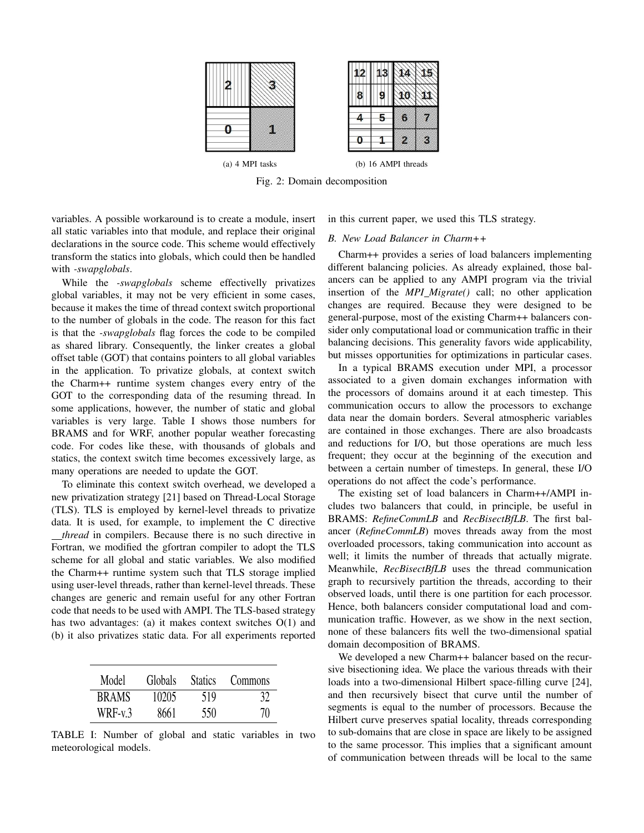

Fig. 2: Domain decomposition

variables. A possible workaround is to create a module, insert all static variables into that module, and replace their original declarations in the source code. This scheme would effectively transform the statics into globals, which could then be handled with *-swapglobals*.

While the *-swapglobals* scheme effectivelly privatizes global variables, it may not be very efficient in some cases, because it makes the time of thread context switch proportional to the number of globals in the code. The reason for this fact is that the *-swapglobals* flag forces the code to be compiled as shared library. Consequently, the linker creates a global offset table (GOT) that contains pointers to all global variables in the application. To privatize globals, at context switch the Charm++ runtime system changes every entry of the GOT to the corresponding data of the resuming thread. In some applications, however, the number of static and global variables is very large. Table I shows those numbers for BRAMS and for WRF, another popular weather forecasting code. For codes like these, with thousands of globals and statics, the context switch time becomes excessively large, as many operations are needed to update the GOT.

To eliminate this context switch overhead, we developed a new privatization strategy [21] based on Thread-Local Storage (TLS). TLS is employed by kernel-level threads to privatize data. It is used, for example, to implement the C directive *thread* in compilers. Because there is no such directive in Fortran, we modified the gfortran compiler to adopt the TLS scheme for all global and static variables. We also modified the Charm++ runtime system such that TLS storage implied using user-level threads, rather than kernel-level threads. These changes are generic and remain useful for any other Fortran code that needs to be used with AMPI. The TLS-based strategy has two advantages: (a) it makes context switches O(1) and (b) it also privatizes static data. For all experiments reported

| Model        | Globals | <b>Statics</b> | Commons |
|--------------|---------|----------------|---------|
| <b>BRAMS</b> | 10205   | 519            | 32      |
| $WRF-v.3$    | 8661    | 550            | 70      |

TABLE I: Number of global and static variables in two meteorological models.

in this current paper, we used this TLS strategy.

# *B. New Load Balancer in Charm++*

Charm++ provides a series of load balancers implementing different balancing policies. As already explained, those balancers can be applied to any AMPI program via the trivial insertion of the *MPI\_Migrate()* call; no other application changes are required. Because they were designed to be general-purpose, most of the existing Charm++ balancers consider only computational load or communication traffic in their balancing decisions. This generality favors wide applicability, but misses opportunities for optimizations in particular cases.

In a typical BRAMS execution under MPI, a processor associated to a given domain exchanges information with the processors of domains around it at each timestep. This communication occurs to allow the processors to exchange data near the domain borders. Several atmospheric variables are contained in those exchanges. There are also broadcasts and reductions for I/O, but those operations are much less frequent; they occur at the beginning of the execution and between a certain number of timesteps. In general, these I/O operations do not affect the code's performance.

The existing set of load balancers in Charm++/AMPI includes two balancers that could, in principle, be useful in BRAMS: *RefineCommLB* and *RecBisectBfLB*. The first balancer (*RefineCommLB*) moves threads away from the most overloaded processors, taking communication into account as well; it limits the number of threads that actually migrate. Meanwhile, *RecBisectBfLB* uses the thread communication graph to recursively partition the threads, according to their observed loads, until there is one partition for each processor. Hence, both balancers consider computational load and communication traffic. However, as we show in the next section, none of these balancers fits well the two-dimensional spatial domain decomposition of BRAMS.

We developed a new Charm++ balancer based on the recursive bisectioning idea. We place the various threads with their loads into a two-dimensional Hilbert space-filling curve [24], and then recursively bisect that curve until the number of segments is equal to the number of processors. Because the Hilbert curve preserves spatial locality, threads corresponding to sub-domains that are close in space are likely to be assigned to the same processor. This implies that a significant amount of communication between threads will be local to the same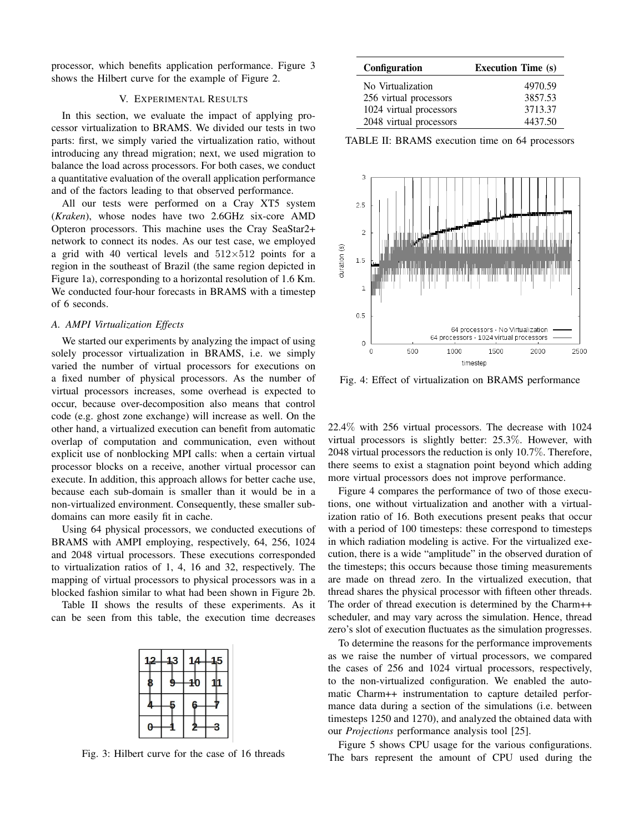processor, which benefits application performance. Figure 3 shows the Hilbert curve for the example of Figure 2.

## V. EXPERIMENTAL RESULTS

In this section, we evaluate the impact of applying processor virtualization to BRAMS. We divided our tests in two parts: first, we simply varied the virtualization ratio, without introducing any thread migration; next, we used migration to balance the load across processors. For both cases, we conduct a quantitative evaluation of the overall application performance and of the factors leading to that observed performance.

All our tests were performed on a Cray XT5 system (*Kraken*), whose nodes have two 2.6GHz six-core AMD Opteron processors. This machine uses the Cray SeaStar2+ network to connect its nodes. As our test case, we employed a grid with 40 vertical levels and  $512\times512$  points for a region in the southeast of Brazil (the same region depicted in Figure 1a), corresponding to a horizontal resolution of 1.6 Km. We conducted four-hour forecasts in BRAMS with a timestep of 6 seconds.

# *A. AMPI Virtualization Effects*

We started our experiments by analyzing the impact of using solely processor virtualization in BRAMS, i.e. we simply varied the number of virtual processors for executions on a fixed number of physical processors. As the number of virtual processors increases, some overhead is expected to occur, because over-decomposition also means that control code (e.g. ghost zone exchange) will increase as well. On the other hand, a virtualized execution can benefit from automatic overlap of computation and communication, even without explicit use of nonblocking MPI calls: when a certain virtual processor blocks on a receive, another virtual processor can execute. In addition, this approach allows for better cache use, because each sub-domain is smaller than it would be in a non-virtualized environment. Consequently, these smaller subdomains can more easily fit in cache.

Using 64 physical processors, we conducted executions of BRAMS with AMPI employing, respectively, 64, 256, 1024 and 2048 virtual processors. These executions corresponded to virtualization ratios of 1, 4, 16 and 32, respectively. The mapping of virtual processors to physical processors was in a blocked fashion similar to what had been shown in Figure 2b.

Table II shows the results of these experiments. As it can be seen from this table, the execution time decreases

| 12 | 13 | 14 | 15 |
|----|----|----|----|
|    | q  | 40 | 11 |
|    | 5  | 6  |    |
| A  |    | 2  | 3  |

Fig. 3: Hilbert curve for the case of 16 threads

| <b>Configuration</b>    | <b>Execution Time (s)</b> |  |
|-------------------------|---------------------------|--|
| No Virtualization       | 4970.59                   |  |
| 256 virtual processors  | 3857.53                   |  |
| 1024 virtual processors | 3713.37                   |  |
| 2048 virtual processors | 4437.50                   |  |

TABLE II: BRAMS execution time on 64 processors



Fig. 4: Effect of virtualization on BRAMS performance

22.4% with 256 virtual processors. The decrease with 1024 virtual processors is slightly better: 25.3%. However, with 2048 virtual processors the reduction is only 10.7%. Therefore, there seems to exist a stagnation point beyond which adding more virtual processors does not improve performance.

Figure 4 compares the performance of two of those executions, one without virtualization and another with a virtualization ratio of 16. Both executions present peaks that occur with a period of 100 timesteps: these correspond to timesteps in which radiation modeling is active. For the virtualized execution, there is a wide "amplitude" in the observed duration of the timesteps; this occurs because those timing measurements are made on thread zero. In the virtualized execution, that thread shares the physical processor with fifteen other threads. The order of thread execution is determined by the Charm++ scheduler, and may vary across the simulation. Hence, thread zero's slot of execution fluctuates as the simulation progresses.

To determine the reasons for the performance improvements as we raise the number of virtual processors, we compared the cases of 256 and 1024 virtual processors, respectively, to the non-virtualized configuration. We enabled the automatic Charm++ instrumentation to capture detailed performance data during a section of the simulations (i.e. between timesteps 1250 and 1270), and analyzed the obtained data with our *Projections* performance analysis tool [25].

Figure 5 shows CPU usage for the various configurations. The bars represent the amount of CPU used during the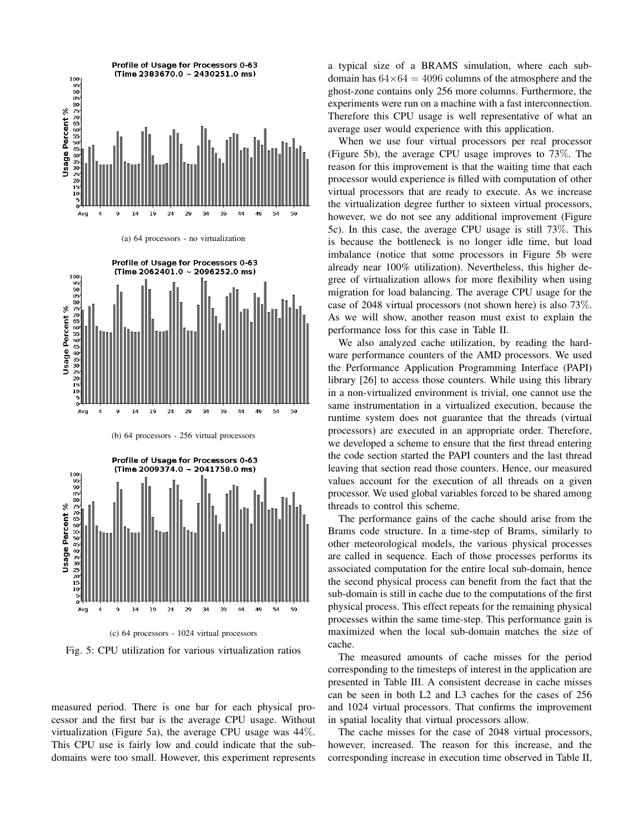

Fig. 5: CPU utilization for various virtualization ratios

measured period. There is one bar for each physical processor and the first bar is the average CPU usage. Without virtualization (Figure 5a), the average CPU usage was 44%. This CPU use is fairly low and could indicate that the subdomains were too small. However, this experiment represents

a typical size of a BRAMS simulation, where each subdomain has  $64\times64 = 4096$  columns of the atmosphere and the ghost-zone contains only 256 more columns. Furthermore, the experiments were run on a machine with a fast interconnection. Therefore this CPU usage is well representative of what an average user would experience with this application.

When we use four virtual processors per real processor (Figure 5b), the average CPU usage improves to 73%. The reason for this improvement is that the waiting time that each processor would experience is filled with computation of other virtual processors that are ready to execute. As we increase the virtualization degree further to sixteen virtual processors, however, we do not see any additional improvement (Figure 5c). In this case, the average CPU usage is still 73%. This is because the bottleneck is no longer idle time, but load imbalance (notice that some processors in Figure 5b were already near 100% utilization). Nevertheless, this higher degree of virtualization allows for more flexibility when using migration for load balancing. The average CPU usage for the case of 2048 virtual processors (not shown here) is also 73%. As we will show, another reason must exist to explain the performance loss for this case in Table II.

We also analyzed cache utilization, by reading the hardware performance counters of the AMD processors. We used the Performance Application Programming Interface (PAPI) library [26] to access those counters. While using this library in a non-virtualized environment is trivial, one cannot use the same instrumentation in a virtualized execution, because the runtime system does not guarantee that the threads (virtual processors) are executed in an appropriate order. Therefore, we developed a scheme to ensure that the first thread entering the code section started the PAPI counters and the last thread leaving that section read those counters. Hence, our measured values account for the execution of all threads on a given processor. We used global variables forced to be shared among threads to control this scheme.

The performance gains of the cache should arise from the Brams code structure. In a time-step of Brams, similarly to other meteorological models, the various physical processes are called in sequence. Each of those processes performs its associated computation for the entire local sub-domain, hence the second physical process can benefit from the fact that the sub-domain is still in cache due to the computations of the first physical process. This effect repeats for the remaining physical processes within the same time-step. This performance gain is maximized when the local sub-domain matches the size of cache.

The measured amounts of cache misses for the period corresponding to the timesteps of interest in the application are presented in Table III. A consistent decrease in cache misses can be seen in both L2 and L3 caches for the cases of 256 and 1024 virtual processors. That confirms the improvement in spatial locality that virtual processors allow.

The cache misses for the case of 2048 virtual processors, however, increased. The reason for this increase, and the corresponding increase in execution time observed in Table II,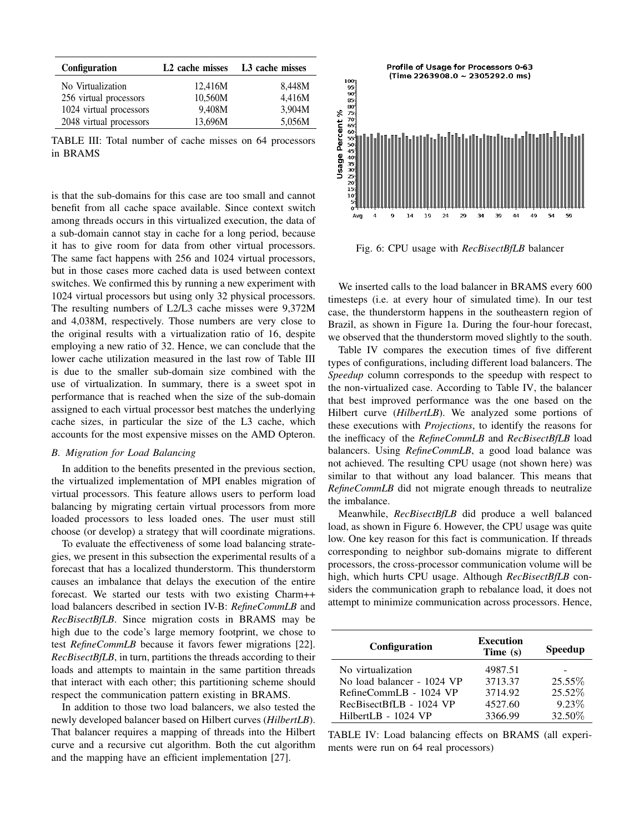| Configuration           | L <sub>2</sub> cache misses | L <sub>3</sub> cache misses |
|-------------------------|-----------------------------|-----------------------------|
| No Virtualization       | 12.416M                     | 8.448M                      |
| 256 virtual processors  | 10,560M                     | 4.416M                      |
| 1024 virtual processors | 9.408M                      | 3,904M                      |
| 2048 virtual processors | 13,696M                     | 5,056M                      |

TABLE III: Total number of cache misses on 64 processors in BRAMS

is that the sub-domains for this case are too small and cannot benefit from all cache space available. Since context switch among threads occurs in this virtualized execution, the data of a sub-domain cannot stay in cache for a long period, because it has to give room for data from other virtual processors. The same fact happens with 256 and 1024 virtual processors, but in those cases more cached data is used between context switches. We confirmed this by running a new experiment with 1024 virtual processors but using only 32 physical processors. The resulting numbers of L2/L3 cache misses were 9,372M and 4,038M, respectively. Those numbers are very close to the original results with a virtualization ratio of 16, despite employing a new ratio of 32. Hence, we can conclude that the lower cache utilization measured in the last row of Table III is due to the smaller sub-domain size combined with the use of virtualization. In summary, there is a sweet spot in performance that is reached when the size of the sub-domain assigned to each virtual processor best matches the underlying cache sizes, in particular the size of the L3 cache, which accounts for the most expensive misses on the AMD Opteron.

# *B. Migration for Load Balancing*

In addition to the benefits presented in the previous section, the virtualized implementation of MPI enables migration of virtual processors. This feature allows users to perform load balancing by migrating certain virtual processors from more loaded processors to less loaded ones. The user must still choose (or develop) a strategy that will coordinate migrations.

To evaluate the effectiveness of some load balancing strategies, we present in this subsection the experimental results of a forecast that has a localized thunderstorm. This thunderstorm causes an imbalance that delays the execution of the entire forecast. We started our tests with two existing Charm++ load balancers described in section IV-B: *RefineCommLB* and *RecBisectBfLB*. Since migration costs in BRAMS may be high due to the code's large memory footprint, we chose to test *RefineCommLB* because it favors fewer migrations [22]. *RecBisectBfLB*, in turn, partitions the threads according to their loads and attempts to maintain in the same partition threads that interact with each other; this partitioning scheme should respect the communication pattern existing in BRAMS.

In addition to those two load balancers, we also tested the newly developed balancer based on Hilbert curves (*HilbertLB*). That balancer requires a mapping of threads into the Hilbert curve and a recursive cut algorithm. Both the cut algorithm and the mapping have an efficient implementation [27].



Fig. 6: CPU usage with *RecBisectBfLB* balancer

We inserted calls to the load balancer in BRAMS every 600 timesteps (i.e. at every hour of simulated time). In our test case, the thunderstorm happens in the southeastern region of Brazil, as shown in Figure 1a. During the four-hour forecast, we observed that the thunderstorm moved slightly to the south.

Table IV compares the execution times of five different types of configurations, including different load balancers. The *Speedup* column corresponds to the speedup with respect to the non-virtualized case. According to Table IV, the balancer that best improved performance was the one based on the Hilbert curve (*HilbertLB*). We analyzed some portions of these executions with *Projections*, to identify the reasons for the inefficacy of the *RefineCommLB* and *RecBisectBfLB* load balancers. Using *RefineCommLB*, a good load balance was not achieved. The resulting CPU usage (not shown here) was similar to that without any load balancer. This means that *RefineCommLB* did not migrate enough threads to neutralize the imbalance.

Meanwhile, *RecBisectBfLB* did produce a well balanced load, as shown in Figure 6. However, the CPU usage was quite low. One key reason for this fact is communication. If threads corresponding to neighbor sub-domains migrate to different processors, the cross-processor communication volume will be high, which hurts CPU usage. Although *RecBisectBfLB* considers the communication graph to rebalance load, it does not attempt to minimize communication across processors. Hence,

| <b>Configuration</b>       | Execution<br>Time (s) | <b>Speedup</b> |
|----------------------------|-----------------------|----------------|
| No virtualization          | 4987.51               |                |
| No load balancer - 1024 VP | 3713.37               | 25.55%         |
| RefineCommLB - 1024 VP     | 3714.92               | 25.52%         |
| RecBisectBfLB - 1024 VP    | 4527.60               | 9.23%          |
| $HilbertLB - 1024 VP$      | 3366.99               | 32.50%         |

TABLE IV: Load balancing effects on BRAMS (all experiments were run on 64 real processors)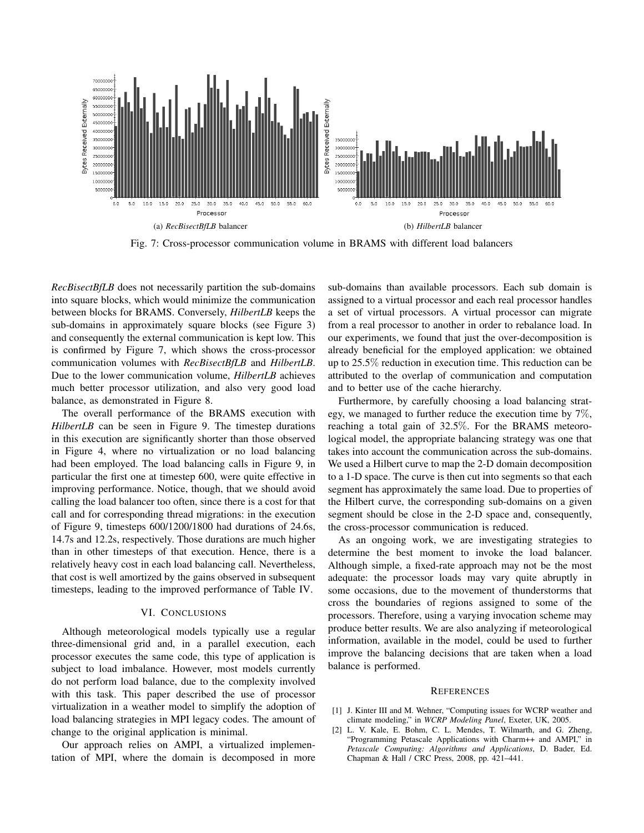

Fig. 7: Cross-processor communication volume in BRAMS with different load balancers

*RecBisectBfLB* does not necessarily partition the sub-domains into square blocks, which would minimize the communication between blocks for BRAMS. Conversely, *HilbertLB* keeps the sub-domains in approximately square blocks (see Figure 3) and consequently the external communication is kept low. This is confirmed by Figure 7, which shows the cross-processor communication volumes with *RecBisectBfLB* and *HilbertLB*. Due to the lower communication volume, *HilbertLB* achieves much better processor utilization, and also very good load balance, as demonstrated in Figure 8.

The overall performance of the BRAMS execution with *HilbertLB* can be seen in Figure 9. The timestep durations in this execution are significantly shorter than those observed in Figure 4, where no virtualization or no load balancing had been employed. The load balancing calls in Figure 9, in particular the first one at timestep 600, were quite effective in improving performance. Notice, though, that we should avoid calling the load balancer too often, since there is a cost for that call and for corresponding thread migrations: in the execution of Figure 9, timesteps 600/1200/1800 had durations of 24.6s, 14.7s and 12.2s, respectively. Those durations are much higher than in other timesteps of that execution. Hence, there is a relatively heavy cost in each load balancing call. Nevertheless, that cost is well amortized by the gains observed in subsequent timesteps, leading to the improved performance of Table IV.

# VI. CONCLUSIONS

Although meteorological models typically use a regular three-dimensional grid and, in a parallel execution, each processor executes the same code, this type of application is subject to load imbalance. However, most models currently do not perform load balance, due to the complexity involved with this task. This paper described the use of processor virtualization in a weather model to simplify the adoption of load balancing strategies in MPI legacy codes. The amount of change to the original application is minimal.

Our approach relies on AMPI, a virtualized implementation of MPI, where the domain is decomposed in more sub-domains than available processors. Each sub domain is assigned to a virtual processor and each real processor handles a set of virtual processors. A virtual processor can migrate from a real processor to another in order to rebalance load. In our experiments, we found that just the over-decomposition is already beneficial for the employed application: we obtained up to 25.5% reduction in execution time. This reduction can be attributed to the overlap of communication and computation and to better use of the cache hierarchy.

Furthermore, by carefully choosing a load balancing strategy, we managed to further reduce the execution time by  $7\%$ , reaching a total gain of 32.5%. For the BRAMS meteorological model, the appropriate balancing strategy was one that takes into account the communication across the sub-domains. We used a Hilbert curve to map the 2-D domain decomposition to a 1-D space. The curve is then cut into segments so that each segment has approximately the same load. Due to properties of the Hilbert curve, the corresponding sub-domains on a given segment should be close in the 2-D space and, consequently, the cross-processor communication is reduced.

As an ongoing work, we are investigating strategies to determine the best moment to invoke the load balancer. Although simple, a fixed-rate approach may not be the most adequate: the processor loads may vary quite abruptly in some occasions, due to the movement of thunderstorms that cross the boundaries of regions assigned to some of the processors. Therefore, using a varying invocation scheme may produce better results. We are also analyzing if meteorological information, available in the model, could be used to further improve the balancing decisions that are taken when a load balance is performed.

#### **REFERENCES**

- [1] J. Kinter III and M. Wehner, "Computing issues for WCRP weather and climate modeling," in *WCRP Modeling Panel*, Exeter, UK, 2005.
- [2] L. V. Kale, E. Bohm, C. L. Mendes, T. Wilmarth, and G. Zheng, "Programming Petascale Applications with Charm++ and AMPI," in *Petascale Computing: Algorithms and Applications*, D. Bader, Ed. Chapman & Hall / CRC Press, 2008, pp. 421–441.